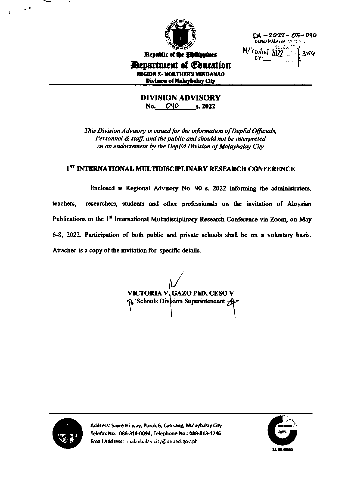

 $DA - 2022 - 05 - 040$ DEPED MALAYBALAY CITY D. ... MAY DATE 1 2022 11 1 3:56

### Republic of the **Philippines** Department of Coucation **REGION X- NORTHERN MINDANAO** Division of Malaybalay City

**DIVISION ADVISORY** No. 040 s. 2022

This Division Advisory is issued for the information of DepEd Officials, Personnel & staff, and the public and should not be interpreted as an endorsement by the DepEd Division of Malaybalay City

### 1<sup>ST</sup> INTERNATIONAL MULTIDISCIPLINARY RESEARCH CONFERENCE

Enclosed is Regional Advisory No. 90 s. 2022 informing the administrators, teachers. researchers, students and other professionals on the invitation of Aloysian Publications to the 1<sup>st</sup> International Multidisciplinary Research Conference via Zoom, on May 6-8, 2022. Participation of both public and private schools shall be on a voluntary basis. Attached is a copy of the invitation for specific details.

VICTORIA V. GAZO PhD, CESO V P Schools Division Superintendent A



Address: Sayre Hi-way, Purok 6, Casisang, Malaybalay City Telefax No.: 088-314-0094; Telephone No.: 088-813-1246 Email Address: malaybalay.city@deped.gov.ph

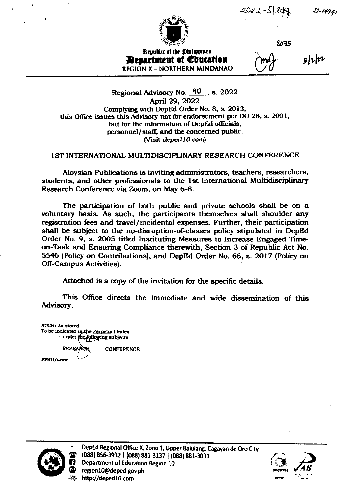$2022 - 51349$ 



2075

**Republic of the Dhilippines** *Penartment of Coucation* **REGION X - NORTHERN MINDANAO** 

 $5|i|$ 

 $22 - 74947$ 

Regional Advisory No. 40, s. 2022 April 29, 2022 Complying with DepEd Order No. 8, s. 2013, this Office issues this Advisory not for endorsement per DO 28, s. 2001, but for the information of DepEd officials, personnel/staff, and the concerned public. (Visit deped 10.com)

#### **1ST INTERNATIONAL MULTIDISCIPLINARY RESEARCH CONFERENCE**

Aloysian Publications is inviting administrators, teachers, researchers, students, and other professionals to the 1st International Multidisciplinary Research Conference via Zoom, on May 6-8.

The participation of both public and private schools shall be on a voluntary basis. As such, the participants themselves shall shoulder any registration fees and travel/incidental expenses. Further, their participation shall be subject to the no-disruption-of-classes policy stipulated in DepEd Order No. 9, s. 2005 titled Instituting Measures to Increase Engaged Timeon-Task and Ensuring Compliance therewith, Section 3 of Republic Act No. 5546 (Policy on Contributions), and DepEd Order No. 66, s. 2017 (Policy on **Off-Campus Activities**).

Attached is a copy of the invitation for the specific details.

This Office directs the immediate and wide dissemination of this Advisory.

**ATCH: As stated** To be indicated in the Perpetual Index under the following subjects: RESEARCH **CONFERENCE** PPRD/anne



DepEd Regional Office X, Zone 1, Upper Balulang, Cagayan de Oro City (088) 856-3932 | (088) 881-3137 | (088) 881-3031 **Department of Education Region 10** region10@deped.gov.ph http://deped10.com

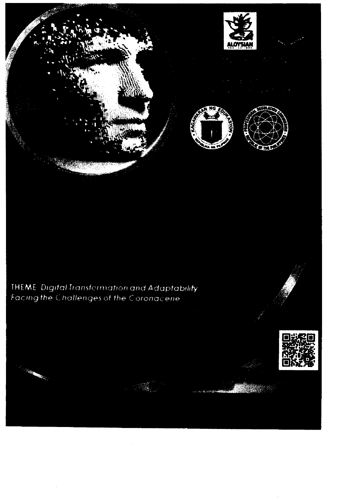





# **THEME** Digital Transformation and Adaptability<br>Facing the Challenges of the Coronacene





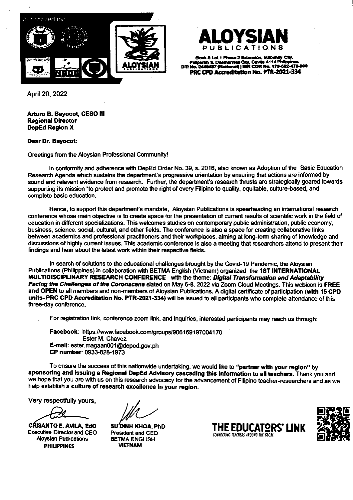

Block 8 Lot 1 Phase 2 Extension, Mabuhay City,<br>Mparan 3, Dasmanhas City, Cavile 4114 Philippines<br>1, 2449497 (National) | BBR COR No. 179-592-478-01 PRC CPD Accreditation No. PTR-2021-334

April 20, 2022

Arturo B. Bayocot, CESO III **Regional Director DepEd Region X** 

**Dear Dr. Bayocot:** 

Greetings from the Aloysian Professional Community!

In conformity and adherence with DepEd Order No. 39, s. 2016, also known as Adoption of the Basic Education Research Agenda which sustains the department's progressive orientation by ensuring that actions are informed by sound and relevant evidence from research. Further, the department's research thrusts are strategically geared towards supporting its mission "to protect and promote the right of every Filipino to quality, equitable, culture-based, and complete basic education.

Hence, to support this department's mandate, Aloysian Publications is spearheading an international research conference whose main objective is to create space for the presentation of current results of scientific work in the field of education in different specializations. This welcomes studies on contemporary public administration, public economy, business, science, social, cultural, and other fields. The conference is also a space for creating collaborative links between academics and professional practitioners and their workplaces, aiming at long-term sharing of knowledge and discussions of highly current issues. This academic conference is also a meeting that researchers attend to present their findings and hear about the latest work within their respective fields.

In search of solutions to the educational challenges brought by the Covid-19 Pandemic, the Aloysian Publications (Philippines) in collaboration with BETMA English (Vietnam) organized the 1ST INTERNATIONAL MULTIDISCIPLINARY RESEARCH CONFERENCE with the theme: Digital Transformation and Adaptability Facing the Challenges of the Coronacene slated on May 6-8, 2022 via Zoom Cloud Meetings. This webicon is FREE and OPEN to all members and non-members of Aloysian Publications. A digital certificate of participation (with 15 CPD units-PRC CPD Accreditation No. PTR-2021-334) will be issued to all participants who complete attendance of this three-day conference.

For registration link, conference zoom link, and inquiries, interested participants may reach us through:

Facebook: https://www.facebook.com/groups/906169197004170 Ester M. Chavez E-mail: ester.magaan001@deped.gov.ph CP number: 0933-828-1973

To ensure the success of this nationwide undertaking, we would like to "partner with your region" by sponsoring and issuing a Regional DepEd Advisory cascading this information to all teachers. Thank you and we hope that you are with us on this research advocacy for the advancement of Filipino teacher-researchers and as we help establish a culture of research excellence in your region.

Very respectfully yours,

**CRISANTO E. AVILA, EdD Executive Director and CEO Aloysian Publications PHILIPPINES** 

SU'DINH KHOA, PhD President and CEO **BETMA ENGLISH VIETNAM** 



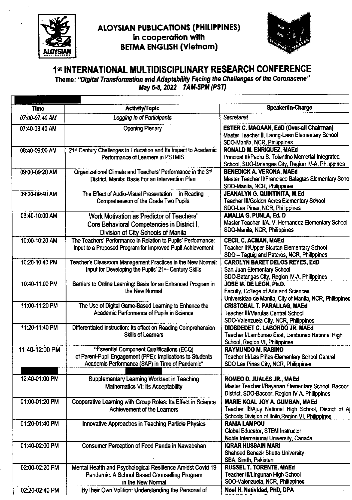

## **ALOYSIAN PUBLICATIONS (PHILIPPINES)** in cooperation with **BETMA ENGLISH (Vietnam)**



## 1st INTERNATIONAL MULTIDISCIPLINARY RESEARCH CONFERENCE

Theme: "Digital Transformation and Adaptability Facing the Challenges of the Coronacene" May 6-8, 2022 7AM-5PM (PST)

| <b>Time</b>    | Activity/Topic                                                                                                                                             | Speaker/In-Charge                                                                                                                              |
|----------------|------------------------------------------------------------------------------------------------------------------------------------------------------------|------------------------------------------------------------------------------------------------------------------------------------------------|
| 07:00-07:40 AM | Logging-in of Participants                                                                                                                                 | Secretariat                                                                                                                                    |
| 07:40-08:40 AM | <b>Opening Plenary</b>                                                                                                                                     | ESTER C. MAGAAN, EdD (Over-all Chairman)<br>Master Teacher II, Laong-Laan Elementary School<br>SDO-Manila, NCR, Philippines                    |
| 08:40-09:00 AM | 21st Century Challenges in Education and its Impact to Academic<br>Performance of Learners in PSTMIS                                                       | <b>RONALD M. ENRIQUEZ, MAEd</b><br>Principal III/Pedro S. Tolentino Memorial Integrated<br>School, SDO-Batangas City, Region IV-A, Philippines |
| 09:00-09:20 AM | Organizational Climate and Teachers' Performance in the 3rd<br>District, Manila: Basis For an Intervention Plan                                            | <b>BENEDICK A. VERONA, MAEd</b><br>Master Teacher II/Francisco Balagtas Elementary Scho<br>SDO-Manila, NCR, Philippines                        |
| 09:20-09:40 AM | The Effect of Audio-Visual Presentation in Reading<br>Comprehension of the Grade Two Pupils                                                                | JEANALYN G. QUINTINITA, M.Ed<br><b>Teacher III/Golden Acres Elementary School</b><br>SDO-Las Piñas, NCR, Philippines                           |
| 09:40-10:00 AM | Work Motivation as Predictor of Teachers'<br>Core Behavioral Competencies in District I,<br>Division of City Schools of Manila                             | <b>AMALIA G. PUNLA, Ed. D</b><br>Master Teacher II/A, V. Hernandez Elementary School<br>SDO-Manila, NCR, Philippines                           |
| 10:00-10:20 AM | The Teachers' Performance in Relation to Pupils' Performance:<br>Input to a Proposed Program for Improved Pupil Achievement                                | <b>CECIL C. ACMAN, MAEd</b><br><b>Teacher III/Upper Bicutan Elementary School</b><br>SDO - Taguig and Pateros, NCR, Philippines                |
| 10:20-10:40 PM | Teacher's Classroom Management Practices in the New Normal:<br>Input for Developing the Pupils' 21 <sup>st</sup> - Century Skills                          | <b>CAROLYN BARET DELOS REYES, EdD</b><br>San Juan Elementary School<br>SDO-Batangas City, Region IV-A, Philippines                             |
| 10:40-11:00 PM | Barriers to Online Learning: Basis for an Enhanced Program in<br>the New Normal                                                                            | JOSE M. DE LEON, Ph.D.<br>Faculty, College of Arts and Sciences<br>Universidad de Manila, City of Manila, NCR, Philippines                     |
| 11:00-11:20 PM | The Use of Digital Game-Based Learning to Enhance the<br>Academic Performance of Pupils in Science                                                         | <b>CRISTOBAL T. PARALLAG, MAEd</b><br><b>Teacher III/Marulas Central School</b><br>SDO-Valenzuela City, NCR, Philippines                       |
| 11:20-11:40 PM | Differentiated Instruction: Its effect on Reading Comprehension<br><b>Skills of Learners</b>                                                               | DIOSDEDET C. LABORDO JR. MAEd<br>Teacher I/Lambunao East, Lambunao National High<br>School, Region VI, Philippines                             |
| 11:40-12:00 PM | "Essential Component Qualifications (ECQ)<br>of Parent-Pupil Engagement (PPE): Implications to Students<br>Academic Performance (SAP) in Time of Pandemic" | <b>RAYMUNDO M. RABINO</b><br>Teacher III/Las Piñas Elementary School Central<br>SDO Las Piñas City, NCR, Philippines                           |
| 12:40-01:00 PM | Supplementary Learning Worktext in Teaching<br>Mathematics VI: Its Acceptability                                                                           | ROMEO D. JUALES JR., MAEd<br>Master Teacher I/Bayanan Elementary School, Bacoor<br>District, SDO-Bacoor, Region IV-A, Philippines              |
| 01:00-01:20 PM | Cooperative Learning with Group Roles: Its Effect in Science<br>Achievement of the Learners                                                                | MARIE KOAL JOY A. GUMBAN, MAEd<br>Teacher III/Ajuy National High School, District of A<br>Schools Division of Iloilo, Region VI, Philippines   |
| 01:20-01:40 PM | Innovative Approaches in Teaching Particle Physics                                                                                                         | <b>RANIA LAMPOU</b><br>Global Educator, STEM Instructor<br>Noble International University, Canada                                              |
| 01:40-02:00 PM | Consumer Perception of Food Panda in Nawabshan                                                                                                             | <b>IQRAR HUSSAIN MARI</b><br>Shaheed Benazir Bhutto University<br>SBA, Sindh, Pakistan                                                         |
| 02:00-02:20 PM | Mental Health and Psychological Resilience Amidst Covid 19<br>Pandemic: A School Based Counselling Program<br>in the New Normal                            | <b>RUSSEL T. TORENTE, MAEd</b><br>Teacher III/Lingunan High School<br>SDO-Valenzuela, NCR, Philippines                                         |
| 02:20-02:40 PM | By their Own Volition: Understanding the Personal of                                                                                                       | Noel H. Natividad, PhD, DPA                                                                                                                    |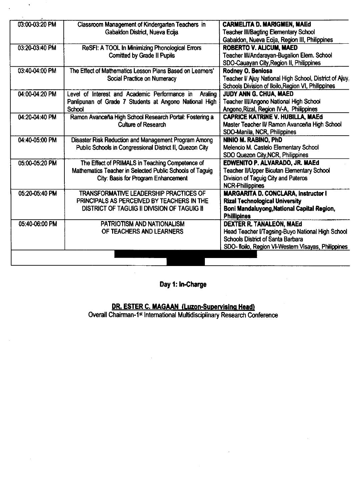| 03:00-03:20 PM | Classroom Management of Kindergarten Teachers in          | <b>CARMELITA D. MARIGMEN, MAEd</b>                      |
|----------------|-----------------------------------------------------------|---------------------------------------------------------|
|                | Gabaldon District, Nueva Ecija                            | <b>Teacher III/Bagting Elementary School</b>            |
|                |                                                           | Gabaldon, Nueva Ecija, Region III, Philippines          |
| 03:20-03:40 PM | ReSFI: A TOOL In Minimizing Phonological Errors           | <b>ROBERTO V. ALICUM. MAED</b>                          |
|                | <b>Comitted by Grade II Pupils</b>                        | Teacher III/Andarayan-Bugallon Elem. School             |
|                |                                                           | SDO-Cauayan City, Region II, Philippines                |
| 03:40-04:00 PM | The Effect of Mathematics Lesson Plans Based on Learners' | Rodney O. Beniosa                                       |
|                | Social Practice on Numeracy                               | Teacher I/ Ajuy National High School, District of Ajuy, |
|                |                                                           | Schools Division of Iloilo, Region VI, Philippines      |
| 04:00-04:20 PM | Level of Interest and Academic Performance in<br>Araling  | JUDY ANN G. CHUA, MAED                                  |
|                | Panlipunan of Grade 7 Students at Angono National High    | Teacher III/Angono National High School                 |
|                | School                                                    | Angono, Rizal, Region IV-A, Philippines                 |
| 04:20-04:40 PM | Ramon Avanceña High School Research Portal: Fostering a   | <b>CAPRICE KATRINE V. HUBILLA, MAEd</b>                 |
|                | <b>Culture of Research</b>                                | Master Teacher IV Ramon Avanceña High School            |
|                |                                                           | SDO-Manila, NCR, Philippines                            |
| 04:40-05:00 PM | Disaster Risk Reduction and Management Program Among      | NINIO M. RABINO, PhD                                    |
|                | Public Schools in Congressional District II, Quezon City  | Melencio M. Castelo Elementary School                   |
|                |                                                           | SDO Quezon City, NCR, Philippines                       |
| 05:00-05:20 PM | The Effect of PRIMALS in Teaching Competence of           | EDWENITO P. ALVARADO, JR. MAEd                          |
|                | Mathematics Teacher in Selected Public Schools of Taguig  | <b>Teacher II/Upper Bicutan Elementary School</b>       |
|                | City: Basis for Program Enhancement                       | Division of Taguig City and Pateros                     |
|                |                                                           | <b>NCR-Phillippines</b>                                 |
| 05:20-05:40 PM | <b>TRANSFORMATIVE LEADERSHIP PRACTICES OF</b>             | <b>MARGARITA D. CONCLARA, Instructor I</b>              |
|                | PRINCIPALS AS PERCEIVED BY TEACHERS IN THE                | <b>Rizal Technological University</b>                   |
|                | <b>DISTRICT OF TAGUIG II DIVISION OF TAGUIG II</b>        | Boni Mandaluyong, National Capital Region,              |
|                |                                                           | <b>Phillipines</b>                                      |
| 05:40-06:00 PM | PATRIOTISM AND NATIONALISM                                | DEXTER R. TANALEON, MAEd                                |
|                | OF TEACHERS AND LEARNERS                                  | Head Teacher I/Tagsing-Buyo National High School        |
|                |                                                           | <b>Schools District of Santa Barbara</b>                |
|                |                                                           | SDO-Iloilo, Region VI-Western Visayas, Philippines      |

## Day 1: In-Charge

DR. ESTER C. MAGAAN (Luzon-Supervising Head)<br>Overall Chairman-1<sup>st</sup> International Multidisciplinary Research Conference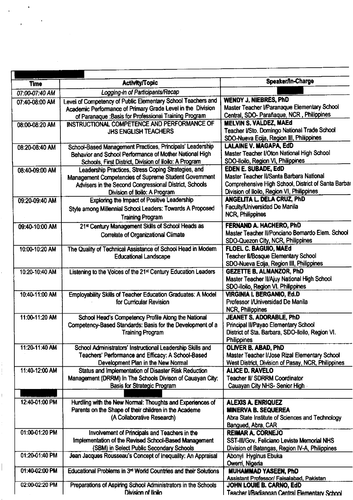| Speaker/In-Charge<br><b>Activity/Topic</b><br><b>Time</b><br>Logging-in of Participants/Recap<br>07:00-07:40 AM<br><b>WENDY J. NIEBRES, PhD</b><br>Level of Competency of Public Elementary School Teachers and<br>07:40-08:00 AM<br>Master Teacher I/Paranaque Elementary School<br>Academic Performance of Primary Grade Level in the Division<br>Central, SDO- Parañaque, NCR, Philippines<br>of Paranaque : Basis for Professional Training Program<br><b>MELVIN S. VALDEZ, MAEd</b><br>INSTRUCTIONAL COMPETENCE AND PERFORMANCE OF<br>08:00-08:20 AM<br>Teacher I/Sto. Domingo National Trade School<br><b>JHS ENGLISH TEACHERS</b><br>SDO-Nueva Ecija, Region III, Philippines<br><b>LALAINE V. MAGAPA, EdD</b><br>School-Based Management Practices, Principals' Leadership<br>08:20-08:40 AM<br>Master Teacher I/Oton National High School<br>Behavior and School Performance of Mother National High |  |
|---------------------------------------------------------------------------------------------------------------------------------------------------------------------------------------------------------------------------------------------------------------------------------------------------------------------------------------------------------------------------------------------------------------------------------------------------------------------------------------------------------------------------------------------------------------------------------------------------------------------------------------------------------------------------------------------------------------------------------------------------------------------------------------------------------------------------------------------------------------------------------------------------------------|--|
|                                                                                                                                                                                                                                                                                                                                                                                                                                                                                                                                                                                                                                                                                                                                                                                                                                                                                                               |  |
|                                                                                                                                                                                                                                                                                                                                                                                                                                                                                                                                                                                                                                                                                                                                                                                                                                                                                                               |  |
|                                                                                                                                                                                                                                                                                                                                                                                                                                                                                                                                                                                                                                                                                                                                                                                                                                                                                                               |  |
|                                                                                                                                                                                                                                                                                                                                                                                                                                                                                                                                                                                                                                                                                                                                                                                                                                                                                                               |  |
|                                                                                                                                                                                                                                                                                                                                                                                                                                                                                                                                                                                                                                                                                                                                                                                                                                                                                                               |  |
|                                                                                                                                                                                                                                                                                                                                                                                                                                                                                                                                                                                                                                                                                                                                                                                                                                                                                                               |  |
|                                                                                                                                                                                                                                                                                                                                                                                                                                                                                                                                                                                                                                                                                                                                                                                                                                                                                                               |  |
|                                                                                                                                                                                                                                                                                                                                                                                                                                                                                                                                                                                                                                                                                                                                                                                                                                                                                                               |  |
|                                                                                                                                                                                                                                                                                                                                                                                                                                                                                                                                                                                                                                                                                                                                                                                                                                                                                                               |  |
| SDO-Iloilo, Region VI, Philippines<br>Schools, First District, Division of Iloilo: A Program                                                                                                                                                                                                                                                                                                                                                                                                                                                                                                                                                                                                                                                                                                                                                                                                                  |  |
| <b>EDEN E. SUBADE, EdD</b><br>Leadership Practices, Stress Coping Strategies, and                                                                                                                                                                                                                                                                                                                                                                                                                                                                                                                                                                                                                                                                                                                                                                                                                             |  |
| 08:40-09:00 AM<br>Master Teacher II/Santa Barbara National<br>Management Competencies of Supreme Student Government                                                                                                                                                                                                                                                                                                                                                                                                                                                                                                                                                                                                                                                                                                                                                                                           |  |
| Comprehensive High School, District of Santa Barbar<br>Advisers in the Second Congressional District, Schools                                                                                                                                                                                                                                                                                                                                                                                                                                                                                                                                                                                                                                                                                                                                                                                                 |  |
| Division of Iloilo, Region VI, Philippines<br>Division of Iloilo: A Program                                                                                                                                                                                                                                                                                                                                                                                                                                                                                                                                                                                                                                                                                                                                                                                                                                   |  |
| <b>ANGELITA L. DELA CRUZ, PhD</b><br><b>Exploring the Impact of Positive Leadership</b><br>09:20-09:40 AM                                                                                                                                                                                                                                                                                                                                                                                                                                                                                                                                                                                                                                                                                                                                                                                                     |  |
| Faculty/Universidad De Manila<br>Style among Millennial School Leaders: Towards A Proposed                                                                                                                                                                                                                                                                                                                                                                                                                                                                                                                                                                                                                                                                                                                                                                                                                    |  |
| <b>NCR, Philippines</b><br><b>Training Program</b>                                                                                                                                                                                                                                                                                                                                                                                                                                                                                                                                                                                                                                                                                                                                                                                                                                                            |  |
| FERNAND A. HACHERO, PhD                                                                                                                                                                                                                                                                                                                                                                                                                                                                                                                                                                                                                                                                                                                                                                                                                                                                                       |  |
| 21st Century Management Skills of School Heads as<br>09:40-10:00 AM<br>Master Teacher II/Ponciano Bernardo Elem. School                                                                                                                                                                                                                                                                                                                                                                                                                                                                                                                                                                                                                                                                                                                                                                                       |  |
| Correlate of Organizational Climate<br>SDO-Quezon City, NCR, Philippines                                                                                                                                                                                                                                                                                                                                                                                                                                                                                                                                                                                                                                                                                                                                                                                                                                      |  |
| <b>FLOEL C. BAGUIO, MAEd</b><br>The Quality of Technical Assistance of School Head in Modern<br>10:00-10:20 AM                                                                                                                                                                                                                                                                                                                                                                                                                                                                                                                                                                                                                                                                                                                                                                                                |  |
| <b>Teacher II/Bosque Elementary School</b><br><b>Educational Landscape</b>                                                                                                                                                                                                                                                                                                                                                                                                                                                                                                                                                                                                                                                                                                                                                                                                                                    |  |
| SDO-Nueva Ecija, Region III, Philippines                                                                                                                                                                                                                                                                                                                                                                                                                                                                                                                                                                                                                                                                                                                                                                                                                                                                      |  |
| <b>GEZETTE B. ALMANZOR, PhD</b><br>10:20-10:40 AM<br>Listening to the Voices of the 21 <sup>st</sup> Century Education Leaders                                                                                                                                                                                                                                                                                                                                                                                                                                                                                                                                                                                                                                                                                                                                                                                |  |
| Master Teacher II/Ajuy National High School                                                                                                                                                                                                                                                                                                                                                                                                                                                                                                                                                                                                                                                                                                                                                                                                                                                                   |  |
| SDO-Iloilo, Region VI. Philippines                                                                                                                                                                                                                                                                                                                                                                                                                                                                                                                                                                                                                                                                                                                                                                                                                                                                            |  |
| VIRGINIA I. BERGANIO, Ed.D<br>10:40-11:00 AM<br><b>Employability Skills of Teacher Education Graduates: A Model</b>                                                                                                                                                                                                                                                                                                                                                                                                                                                                                                                                                                                                                                                                                                                                                                                           |  |
| Professor I/Universidad De Manila<br>for Curricular Revision                                                                                                                                                                                                                                                                                                                                                                                                                                                                                                                                                                                                                                                                                                                                                                                                                                                  |  |
| <b>NCR, Philippines</b>                                                                                                                                                                                                                                                                                                                                                                                                                                                                                                                                                                                                                                                                                                                                                                                                                                                                                       |  |
| JEANET S. ADORABLE, PhD<br>School Head's Competency Profile Along the National<br>11:00-11:20 AM                                                                                                                                                                                                                                                                                                                                                                                                                                                                                                                                                                                                                                                                                                                                                                                                              |  |
| Principal II/Payao Elementary School<br>Competency-Based Standards: Basis for the Development of a                                                                                                                                                                                                                                                                                                                                                                                                                                                                                                                                                                                                                                                                                                                                                                                                            |  |
| District of Sta. Barbara, SDO-lloilo, Region VI.<br><b>Training Program</b>                                                                                                                                                                                                                                                                                                                                                                                                                                                                                                                                                                                                                                                                                                                                                                                                                                   |  |
| <b>Philippines</b>                                                                                                                                                                                                                                                                                                                                                                                                                                                                                                                                                                                                                                                                                                                                                                                                                                                                                            |  |
| 11:20-11:40 AM<br>OLIVER B. ABAD, PhD<br>School Administrators' Instructional Leadership Skills and                                                                                                                                                                                                                                                                                                                                                                                                                                                                                                                                                                                                                                                                                                                                                                                                           |  |
| Teachers' Performance and Efficacy: A School-Based<br>Master Teacher I/Jose Rizal Elementary School                                                                                                                                                                                                                                                                                                                                                                                                                                                                                                                                                                                                                                                                                                                                                                                                           |  |
| Development Plan in the New Normal<br>West District, Division of Pasay, NCR, Philippines                                                                                                                                                                                                                                                                                                                                                                                                                                                                                                                                                                                                                                                                                                                                                                                                                      |  |
| Status and Implementation of Disaster Risk Reduction<br>11:40-12:00 AM<br><b>ALICE D. RAVELO</b>                                                                                                                                                                                                                                                                                                                                                                                                                                                                                                                                                                                                                                                                                                                                                                                                              |  |
| Management (DRRM) In The Schools Divison of Cauayan City:<br><b>Teacher II/ SDRRM Coordinator</b>                                                                                                                                                                                                                                                                                                                                                                                                                                                                                                                                                                                                                                                                                                                                                                                                             |  |
| <b>Basis for Strategic Program</b><br>Cauayan City NHS- Senior High                                                                                                                                                                                                                                                                                                                                                                                                                                                                                                                                                                                                                                                                                                                                                                                                                                           |  |
| 12:40-01:00 PM                                                                                                                                                                                                                                                                                                                                                                                                                                                                                                                                                                                                                                                                                                                                                                                                                                                                                                |  |
| Hurdling with the New Normal: Thoughts and Experiences of<br><b>ALEXIS A. ENRIQUEZ</b><br>Parents on the Shape of their children in the Academe<br><b>MINERVA B. SEQUEREA</b>                                                                                                                                                                                                                                                                                                                                                                                                                                                                                                                                                                                                                                                                                                                                 |  |
| (A Collaborative Research)<br>Abra State Institute of Sciences and Technology                                                                                                                                                                                                                                                                                                                                                                                                                                                                                                                                                                                                                                                                                                                                                                                                                                 |  |
| Bangued, Abra, CAR                                                                                                                                                                                                                                                                                                                                                                                                                                                                                                                                                                                                                                                                                                                                                                                                                                                                                            |  |
| 01:00-01:20 PM<br><b>REIMAR A. CORNEJO</b><br>Involvement of Principals and Teachers in the                                                                                                                                                                                                                                                                                                                                                                                                                                                                                                                                                                                                                                                                                                                                                                                                                   |  |
| Implementation of the Revised School-Based Management<br>SST-III/Gov. Feliciano Leviste Memorial NHS                                                                                                                                                                                                                                                                                                                                                                                                                                                                                                                                                                                                                                                                                                                                                                                                          |  |
| (SBM) in Select Public Secondary Schools<br>Division of Batangas, Region IV-A, Philippines                                                                                                                                                                                                                                                                                                                                                                                                                                                                                                                                                                                                                                                                                                                                                                                                                    |  |
| 01:20-01:40 PM<br>Jean Jacques Rousseau's Concept of Inequality: An Appraisal<br>Abonyi Hyginus Ebuka                                                                                                                                                                                                                                                                                                                                                                                                                                                                                                                                                                                                                                                                                                                                                                                                         |  |
| Owerri, Nigeria                                                                                                                                                                                                                                                                                                                                                                                                                                                                                                                                                                                                                                                                                                                                                                                                                                                                                               |  |
| 01:40-02:00 PM<br>Educational Problems in 3 <sup>rd</sup> World Countries and their Solutions<br><b>MUHAMMAD YASEEN, PhD</b>                                                                                                                                                                                                                                                                                                                                                                                                                                                                                                                                                                                                                                                                                                                                                                                  |  |
| Assistant Professor/ Faisalabad, Pakistan                                                                                                                                                                                                                                                                                                                                                                                                                                                                                                                                                                                                                                                                                                                                                                                                                                                                     |  |
| 02:00-02:20 PM<br>Preparations of Aspiring School Administrators in the Schools<br>JOHN LOUIE B. CARNO, EdD                                                                                                                                                                                                                                                                                                                                                                                                                                                                                                                                                                                                                                                                                                                                                                                                   |  |
| Division of Iloilo<br>Teacher I/Badianoan Central Elementary School                                                                                                                                                                                                                                                                                                                                                                                                                                                                                                                                                                                                                                                                                                                                                                                                                                           |  |

 $\frac{1}{2}$ 

 $\bar{\mathbb{F}}$ 

ł,

 $\label{eq:2.1} \mathcal{L}(\mathcal{L}^{\text{max}}_{\mathcal{L}}(\mathcal{L}^{\text{max}}_{\mathcal{L}}))\leq \mathcal{L}(\mathcal{L}^{\text{max}}_{\mathcal{L}}(\mathcal{L}^{\text{max}}_{\mathcal{L}}))$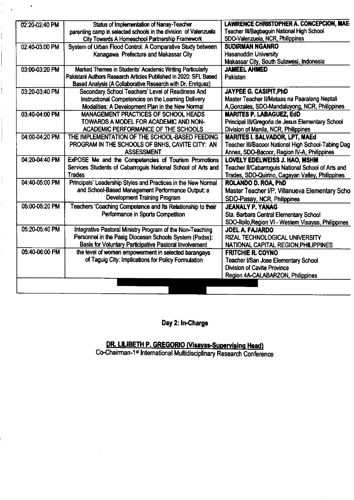| 02:20-02:40 PM | Status of Implementation of Nanay-Teacher                        | LAWRENCE CHRISTOPHER A. CONCEPCION, MAE-             |
|----------------|------------------------------------------------------------------|------------------------------------------------------|
|                | parenting camp in selected schools in the division of Valenzuela | Teacher III/Bagbaguin National High School           |
|                | City Towards A Homeschool Partnership Framework                  | SDO-Valenzuela, NCR, Philippines                     |
| 02:40-03:00 PM | System of Urban Flood Control: A Comparative Study between       | <b>SUDIRMAN NGANRO</b>                               |
|                | Kanagawa Prefecture and Makassar City                            | <b>Hasanuddin University</b>                         |
|                |                                                                  | Makassar City, South Sulawesi, Indonesia             |
| 03:00-03:20 PM | Marked Themes in Students' Academic Writing Particularly         | <b>JAMEEL AHMED</b>                                  |
|                | Pakistani Authors Research Articles Published in 2020: SFL Based | Pakistan                                             |
|                | Based Analysis (A Collaborative Research with Dr. Enriquez)      |                                                      |
| 03:20-03:40 PM | Secondary School Teachers' Level of Readiness And                | JAYPEE G. CASIPIT, PhD                               |
|                | Instructional Competencies on the Learning Delivery              | Master Teacher II/Mataas na Paaralang Neptali        |
|                | Modalities: A Development Plan in the New Normal                 | A.Gonzales, SDO-Mandaluyong, NCR, Philippines        |
| 03:40-04:00 PM | <b>MANAGEMENT PRACTICES OF SCHOOL HEADS</b>                      | <b>MARITES P. LABAGUEZ, EdD</b>                      |
|                | TOWARDS A MODEL FOR ACADEMIC AND NON-                            | Principal III/Gregoria de Jesus Elementary School    |
|                | ACADEMIC PERFORMANCE OF THE SCHOOLS                              | Division of Manila, NCR, Philippines                 |
| 04:00-04:20 PM | THE IMPLEMENTATION OF THE SCHOOL-BASED FEEDING                   | <b>MARITES I. SALVADOR, LPT, MAEd</b>                |
|                | PROGRAM IN THE SCHOOLS OF BNHS, CAVITE CITY: AN                  | Teacher III/Bacoor National High School-Tabing Dag   |
|                | <b>ASSESSMENT</b>                                                | Annex, SDO-Bacoor, Region IV-A, Philippines          |
| 04:20-04:40 PM | ExPOSE Me and the Competencies of Tourism Promotions             | <b>LOVELY EDELWEISS J. HAO, MSHM</b>                 |
|                | Services Students of Cabarroguis National School of Arts and     | Teacher II/Cabarroguis National School of Arts and   |
|                | <b>Trades</b>                                                    | Trades, SDO-Quirino, Cagayan Valley, Philippines     |
| 04:40-05:00 PM | Principals' Leadership Styles and Practices in the New Normal    | ROLANDO D. ROA, PhD                                  |
|                | and School-Based Management Performance Output: a                | Master Teacher I/P. Villanueva Elementary Scho       |
|                | <b>Development Training Program</b>                              | SDO-Pasay, NCR, Philippines                          |
| 05:00-05:20 PM | Teachers 'Coaching Competence and Its Relationship to their      | <b>JEANALY P. YANAG</b>                              |
|                | Performance in Sports Competition                                | Sta. Barbara Central Elementary School               |
|                |                                                                  | SDO-Iloilo, Region VI - Western Visayas, Philippines |
| 05:20-05:40 PM | Integrative Pastoral Ministry Program of the Non-Teaching        | <b>JOEL A. FAJARDO</b>                               |
|                | Personnel in the Pasig Diocesan Schools System (Padss):          | RIZAL TECHNOLOGICAL UNIVERSITY                       |
|                | Basis for Voluntary Participative Pastoral Involvement           | NATIONAL CAPITAL REGION, PHILIPPINES                 |
| 05:40-06:00 PM | the level of women empowerment in selected barangays             | <b>FRITCHIE R. COYNO</b>                             |
|                | of Taguig City: Implications for Policy Formulation              | Teacher VSan Jose Elementary School                  |
|                |                                                                  | <b>Division of Cavite Province</b>                   |
|                |                                                                  | Region 4A-CALABARZON, Philippines                    |
|                |                                                                  |                                                      |
|                |                                                                  |                                                      |

j

Day 2: In-Charge

DR. LILIBETH P. GREGORIO (Visayas-Supervising Head)<br>Co-Chairman-1st International Multidisciplinary Research Conference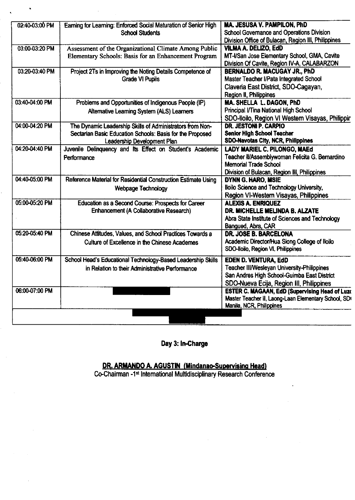| 02:40-03:00 PM | Earning for Learning: Enforced Social Maturation of Senior High<br><b>School Students</b>                                                             | MA, JESUSA V. PAMPILON, PhD<br>School Governance and Operations Division<br>Division Office of Bulacan, Region III, Philippines                                        |
|----------------|-------------------------------------------------------------------------------------------------------------------------------------------------------|------------------------------------------------------------------------------------------------------------------------------------------------------------------------|
| 03:00-03:20 PM | Assessment of the Organizational Climate Among Public<br>Elementary Schools: Basis for an Enhancement Program                                         | <b>VILMA A. DELIZO, EdD</b><br>MT-I/San Jose Elementary School, GMA, Cavite<br>Division Of Cavite, Region IV-A, CALABARZON                                             |
| 03:20-03:40 PM | Project 2Ts in Improving the Noting Details Competence of<br><b>Grade VI Pupils</b>                                                                   | <b>BERNALDO R. MACUGAY JR., PhD</b><br>Master Teacher I/Pata Integrated School<br>Claveria East District, SDO-Cagayan,<br>Region II, Philippines                       |
| 03:40-04:00 PM | Problems and Opportunities of Indigenous People (IP)<br>Alternative Learning System (ALS) Learners                                                    | MA. SHELLA L. DAGON, PhD<br>Principal I/Tina National High School<br>SDO-Iloilo, Region VI Western Visayas, Philippir                                                  |
| 04:00-04:20 PM | The Dynamic Leadership Skills of Administrators from Non-<br>Sectarian Basic Education Schools: Basis for the Proposed<br>Leadership Development Plan | <b>DR. JESTONI P. CARPIO</b><br><b>Senior High School Teacher</b><br><b>SDO-Navotas City, NCR, Philippines</b>                                                         |
| 04:20-04:40 PM | Juvenile Delinquency and Its Effect on Student's Academic<br>Performance                                                                              | <b>LADY MARIEL C. PILONGO, MAEd</b><br>Teacher II/Assemblywoman Felicita G. Bernardino<br><b>Memorial Trade School</b><br>Division of Bulacan, Region III, Philippines |
| 04:40-05:00 PM | Reference Material for Residential Construction Estimate Using<br>Webpage Technology                                                                  | <b>DYNN G. HARO, MSIE</b><br>lloilo Science and Technology University,<br>Region VI-Western Visayas, Philippines                                                       |
| 05:00-05:20 PM | Education as a Second Course: Prospects for Career<br>Enhancement (A Collaborative Research)                                                          | <b>ALEXIS A. ENRIQUEZ</b><br>DR. MICHELLE MELINDA B. ALZATE<br>Abra State Institute of Sciences and Technology<br>Bangued, Abra, CAR                                   |
| 05:20-05:40 PM | Chinese Attitudes, Values, and School Practices Towards a<br>Culture of Excellence in the Chinese Academes                                            | <b>DR. JOSE B. BARCELONA</b><br>Academic Director/Hua Siong College of Iloilo<br>SDO-lloilo, Region VI. Philippines                                                    |
| 05:40-06:00 PM | School Head's Educational Technology-Based Leadership Skills<br>in Relation to their Administrative Performance                                       | EDEN D. VENTURA, EdD<br><b>Teacher III/Wesleyan University-Philippines</b><br>San Andres High School-Guimba East District<br>SDO-Nueva Ecija, Region III, Philippines  |
| 06:00-07:00 PM |                                                                                                                                                       | <b>ESTER C. MAGAAN, EdD (Supervising Head of Luzo</b><br>Master Teacher II, Laong-Laan Elementary School, SD<br>Manila, NCR, Philippines                               |
|                |                                                                                                                                                       |                                                                                                                                                                        |

Day 3: In-Charge

DR. ARMANDO A. AGUSTIN (Mindanao-Supervising Head)<br>Co-Chairman -1<sup>st</sup> International Multidisciplinary Research Conference